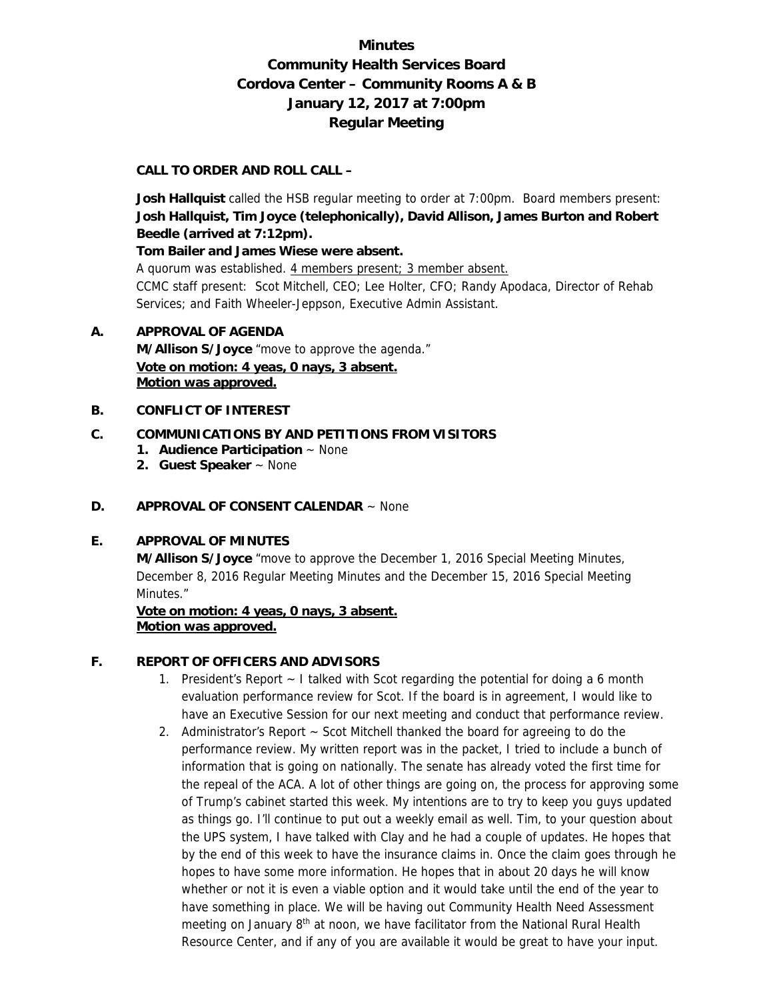# **Minutes Community Health Services Board Cordova Center – Community Rooms A & B January 12, 2017 at 7:00pm Regular Meeting**

### **CALL TO ORDER AND ROLL CALL –**

 **Josh Hallquist** called the HSB regular meeting to order at 7:00pm. Board members present: **Josh Hallquist, Tim Joyce (telephonically), David Allison, James Burton and Robert Beedle (arrived at 7:12pm).** 

**Tom Bailer and James Wiese were absent.** 

A quorum was established. 4 members present; 3 member absent. CCMC staff present: Scot Mitchell, CEO; Lee Holter, CFO; Randy Apodaca, Director of Rehab Services; and Faith Wheeler-Jeppson, Executive Admin Assistant.

### **A. APPROVAL OF AGENDA**

 **M/Allison S/Joyce** "move to approve the agenda." **Vote on motion: 4 yeas, 0 nays, 3 absent. Motion was approved.**

### **B. CONFLICT OF INTEREST**

### **C. COMMUNICATIONS BY AND PETITIONS FROM VISITORS**

- **1. Audience Participation** ~ None
- **2. Guest Speaker** ~ None

### **D. APPROVAL OF CONSENT CALENDAR** ~ None

### **E. APPROVAL OF MINUTES**

**M/Allison S/Joyce** "move to approve the December 1, 2016 Special Meeting Minutes, December 8, 2016 Regular Meeting Minutes and the December 15, 2016 Special Meeting Minutes."

**Vote on motion: 4 yeas, 0 nays, 3 absent. Motion was approved.**

### **F. REPORT OF OFFICERS AND ADVISORS**

- 1. President's Report ~ I talked with Scot regarding the potential for doing a 6 month evaluation performance review for Scot. If the board is in agreement, I would like to have an Executive Session for our next meeting and conduct that performance review.
- 2. Administrator's Report ~ Scot Mitchell thanked the board for agreeing to do the performance review. My written report was in the packet, I tried to include a bunch of information that is going on nationally. The senate has already voted the first time for the repeal of the ACA. A lot of other things are going on, the process for approving some of Trump's cabinet started this week. My intentions are to try to keep you guys updated as things go. I'll continue to put out a weekly email as well. Tim, to your question about the UPS system, I have talked with Clay and he had a couple of updates. He hopes that by the end of this week to have the insurance claims in. Once the claim goes through he hopes to have some more information. He hopes that in about 20 days he will know whether or not it is even a viable option and it would take until the end of the year to have something in place. We will be having out Community Health Need Assessment meeting on January 8<sup>th</sup> at noon, we have facilitator from the National Rural Health Resource Center, and if any of you are available it would be great to have your input.